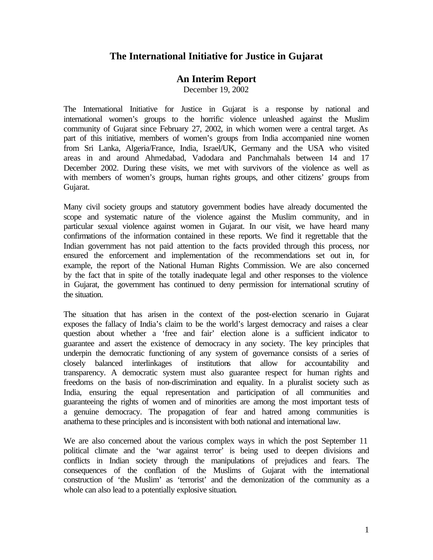## **The International Initiative for Justice in Gujarat**

## **An Interim Report**

December 19, 2002

The International Initiative for Justice in Gujarat is a response by national and international women's groups to the horrific violence unleashed against the Muslim community of Gujarat since February 27, 2002, in which women were a central target. As part of this initiative, members of women's groups from India accompanied nine women from Sri Lanka, Algeria/France, India, Israel/UK, Germany and the USA who visited areas in and around Ahmedabad, Vadodara and Panchmahals between 14 and 17 December 2002. During these visits, we met with survivors of the violence as well as with members of women's groups, human rights groups, and other citizens' groups from Gujarat.

Many civil society groups and statutory government bodies have already documented the scope and systematic nature of the violence against the Muslim community, and in particular sexual violence against women in Gujarat. In our visit, we have heard many confirmations of the information contained in these reports. We find it regrettable that the Indian government has not paid attention to the facts provided through this process, nor ensured the enforcement and implementation of the recommendations set out in, for example, the report of the National Human Rights Commission. We are also concerned by the fact that in spite of the totally inadequate legal and other responses to the violence in Gujarat, the government has continued to deny permission for international scrutiny of the situation.

The situation that has arisen in the context of the post-election scenario in Gujarat exposes the fallacy of India's claim to be the world's largest democracy and raises a clear question about whether a 'free and fair' election alone is a sufficient indicator to guarantee and assert the existence of democracy in any society. The key principles that underpin the democratic functioning of any system of governance consists of a series of closely balanced interlinkages of institutions that allow for accountability and transparency. A democratic system must also guarantee respect for human rights and freedoms on the basis of non-discrimination and equality. In a pluralist society such as India, ensuring the equal representation and participation of all communities and guaranteeing the rights of women and of minorities are among the most important tests of a genuine democracy. The propagation of fear and hatred among communities is anathema to these principles and is inconsistent with both national and international law.

We are also concerned about the various complex ways in which the post September 11 political climate and the 'war against terror' is being used to deepen divisions and conflicts in Indian society through the manipulations of prejudices and fears. The consequences of the conflation of the Muslims of Gujarat with the international construction of 'the Muslim' as 'terrorist' and the demonization of the community as a whole can also lead to a potentially explosive situation.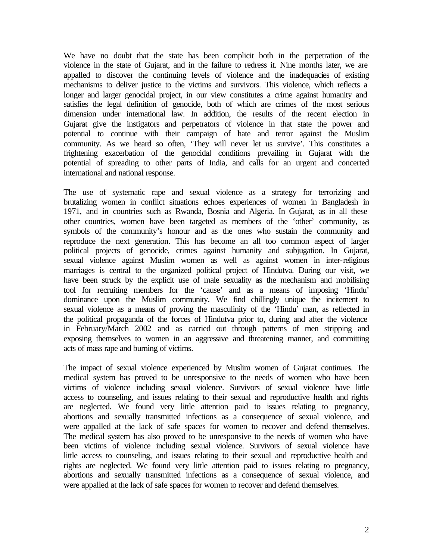We have no doubt that the state has been complicit both in the perpetration of the violence in the state of Gujarat, and in the failure to redress it. Nine months later, we are appalled to discover the continuing levels of violence and the inadequacies of existing mechanisms to deliver justice to the victims and survivors. This violence, which reflects a longer and larger genocidal project, in our view constitutes a crime against humanity and satisfies the legal definition of genocide, both of which are crimes of the most serious dimension under international law. In addition, the results of the recent election in Gujarat give the instigators and perpetrators of violence in that state the power and potential to continue with their campaign of hate and terror against the Muslim community. As we heard so often, 'They will never let us survive'. This constitutes a frightening exacerbation of the genocidal conditions prevailing in Gujarat with the potential of spreading to other parts of India, and calls for an urgent and concerted international and national response.

The use of systematic rape and sexual violence as a strategy for terrorizing and brutalizing women in conflict situations echoes experiences of women in Bangladesh in 1971, and in countries such as Rwanda, Bosnia and Algeria. In Gujarat, as in all these other countries, women have been targeted as members of the 'other' community, as symbols of the community's honour and as the ones who sustain the community and reproduce the next generation. This has become an all too common aspect of larger political projects of genocide, crimes against humanity and subjugation. In Gujarat, sexual violence against Muslim women as well as against women in inter-religious marriages is central to the organized political project of Hindutva. During our visit, we have been struck by the explicit use of male sexuality as the mechanism and mobilising tool for recruiting members for the 'cause' and as a means of imposing 'Hindu' dominance upon the Muslim community. We find chillingly unique the incitement to sexual violence as a means of proving the masculinity of the 'Hindu' man, as reflected in the political propaganda of the forces of Hindutva prior to, during and after the violence in February/March 2002 and as carried out through patterns of men stripping and exposing themselves to women in an aggressive and threatening manner, and committing acts of mass rape and burning of victims.

The impact of sexual violence experienced by Muslim women of Gujarat continues. The medical system has proved to be unresponsive to the needs of women who have been victims of violence including sexual violence. Survivors of sexual violence have little access to counseling, and issues relating to their sexual and reproductive health and rights are neglected. We found very little attention paid to issues relating to pregnancy, abortions and sexually transmitted infections as a consequence of sexual violence, and were appalled at the lack of safe spaces for women to recover and defend themselves. The medical system has also proved to be unresponsive to the needs of women who have been victims of violence including sexual violence. Survivors of sexual violence have little access to counseling, and issues relating to their sexual and reproductive health and rights are neglected. We found very little attention paid to issues relating to pregnancy, abortions and sexually transmitted infections as a consequence of sexual violence, and were appalled at the lack of safe spaces for women to recover and defend themselves.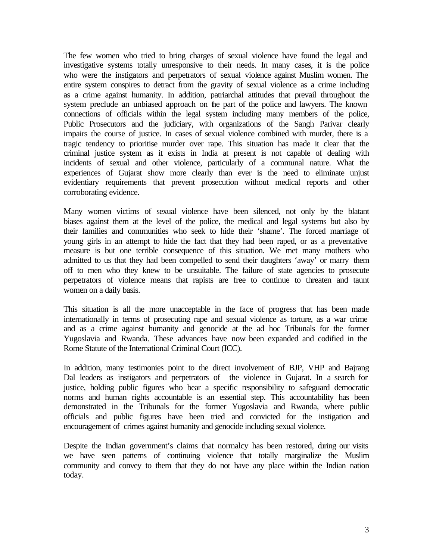The few women who tried to bring charges of sexual violence have found the legal and investigative systems totally unresponsive to their needs. In many cases, it is the police who were the instigators and perpetrators of sexual violence against Muslim women. The entire system conspires to detract from the gravity of sexual violence as a crime including as a crime against humanity. In addition, patriarchal attitudes that prevail throughout the system preclude an unbiased approach on the part of the police and lawyers. The known connections of officials within the legal system including many members of the police, Public Prosecutors and the judiciary, with organizations of the Sangh Parivar clearly impairs the course of justice. In cases of sexual violence combined with murder, there is a tragic tendency to prioritise murder over rape. This situation has made it clear that the criminal justice system as it exists in India at present is not capable of dealing with incidents of sexual and other violence, particularly of a communal nature. What the experiences of Gujarat show more clearly than ever is the need to eliminate unjust evidentiary requirements that prevent prosecution without medical reports and other corroborating evidence.

Many women victims of sexual violence have been silenced, not only by the blatant biases against them at the level of the police, the medical and legal systems but also by their families and communities who seek to hide their 'shame'. The forced marriage of young girls in an attempt to hide the fact that they had been raped, or as a preventative measure is but one terrible consequence of this situation. We met many mothers who admitted to us that they had been compelled to send their daughters 'away' or marry them off to men who they knew to be unsuitable. The failure of state agencies to prosecute perpetrators of violence means that rapists are free to continue to threaten and taunt women on a daily basis.

This situation is all the more unacceptable in the face of progress that has been made internationally in terms of prosecuting rape and sexual violence as torture, as a war crime and as a crime against humanity and genocide at the ad hoc Tribunals for the former Yugoslavia and Rwanda. These advances have now been expanded and codified in the Rome Statute of the International Criminal Court (ICC).

In addition, many testimonies point to the direct involvement of BJP, VHP and Bajrang Dal leaders as instigators and perpetrators of the violence in Gujarat. In a search for justice, holding public figures who bear a specific responsibility to safeguard democratic norms and human rights accountable is an essential step. This accountability has been demonstrated in the Tribunals for the former Yugoslavia and Rwanda, where public officials and public figures have been tried and convicted for the instigation and encouragement of crimes against humanity and genocide including sexual violence.

Despite the Indian government's claims that normalcy has been restored, during our visits we have seen patterns of continuing violence that totally marginalize the Muslim community and convey to them that they do not have any place within the Indian nation today.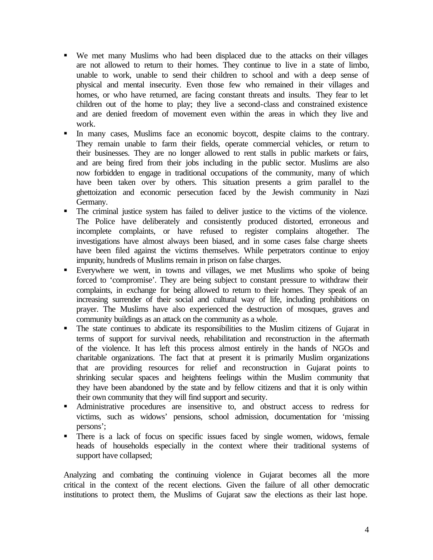- ß We met many Muslims who had been displaced due to the attacks on their villages are not allowed to return to their homes. They continue to live in a state of limbo, unable to work, unable to send their children to school and with a deep sense of physical and mental insecurity. Even those few who remained in their villages and homes, or who have returned, are facing constant threats and insults. They fear to let children out of the home to play; they live a second-class and constrained existence and are denied freedom of movement even within the areas in which they live and work.
- ß In many cases, Muslims face an economic boycott, despite claims to the contrary. They remain unable to farm their fields, operate commercial vehicles, or return to their businesses. They are no longer allowed to rent stalls in public markets or fairs, and are being fired from their jobs including in the public sector. Muslims are also now forbidden to engage in traditional occupations of the community, many of which have been taken over by others. This situation presents a grim parallel to the ghettoization and economic persecution faced by the Jewish community in Nazi Germany.
- ß The criminal justice system has failed to deliver justice to the victims of the violence. The Police have deliberately and consistently produced distorted, erroneous and incomplete complaints, or have refused to register complains altogether. The investigations have almost always been biased, and in some cases false charge sheets have been filed against the victims themselves. While perpetrators continue to enjoy impunity, hundreds of Muslims remain in prison on false charges.
- ß Everywhere we went, in towns and villages, we met Muslims who spoke of being forced to 'compromise'. They are being subject to constant pressure to withdraw their complaints, in exchange for being allowed to return to their homes. They speak of an increasing surrender of their social and cultural way of life, including prohibitions on prayer. The Muslims have also experienced the destruction of mosques, graves and community buildings as an attack on the community as a whole.
- ß The state continues to abdicate its responsibilities to the Muslim citizens of Gujarat in terms of support for survival needs, rehabilitation and reconstruction in the aftermath of the violence. It has left this process almost entirely in the hands of NGOs and charitable organizations. The fact that at present it is primarily Muslim organizations that are providing resources for relief and reconstruction in Gujarat points to shrinking secular spaces and heightens feelings within the Muslim community that they have been abandoned by the state and by fellow citizens and that it is only within their own community that they will find support and security.
- ß Administrative procedures are insensitive to, and obstruct access to redress for victims, such as widows' pensions, school admission, documentation for 'missing persons';
- There is a lack of focus on specific issues faced by single women, widows, female heads of households especially in the context where their traditional systems of support have collapsed;

Analyzing and combating the continuing violence in Gujarat becomes all the more critical in the context of the recent elections. Given the failure of all other democratic institutions to protect them, the Muslims of Gujarat saw the elections as their last hope.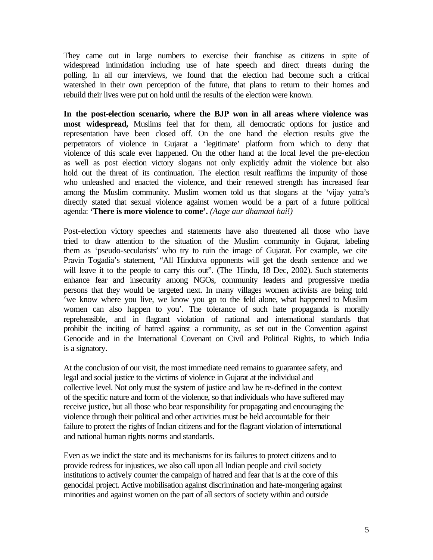They came out in large numbers to exercise their franchise as citizens in spite of widespread intimidation including use of hate speech and direct threats during the polling. In all our interviews, we found that the election had become such a critical watershed in their own perception of the future, that plans to return to their homes and rebuild their lives were put on hold until the results of the election were known.

**In the post-election scenario, where the BJP won in all areas where violence was most widespread,** Muslims feel that for them, all democratic options for justice and representation have been closed off. On the one hand the election results give the perpetrators of violence in Gujarat a 'legitimate' platform from which to deny that violence of this scale ever happened. On the other hand at the local level the pre-election as well as post election victory slogans not only explicitly admit the violence but also hold out the threat of its continuation. The election result reaffirms the impunity of those who unleashed and enacted the violence, and their renewed strength has increased fear among the Muslim community. Muslim women told us that slogans at the 'vijay yatra's directly stated that sexual violence against women would be a part of a future political agenda: **'There is more violence to come'.** *(Aage aur dhamaal hai!)*

Post-election victory speeches and statements have also threatened all those who have tried to draw attention to the situation of the Muslim community in Gujarat, labeling them as 'pseudo-secularists' who try to ruin the image of Gujarat. For example, we cite Pravin Togadia's statement, "All Hindutva opponents will get the death sentence and we will leave it to the people to carry this out". (The Hindu, 18 Dec, 2002). Such statements enhance fear and insecurity among NGOs, community leaders and progressive media persons that they would be targeted next. In many villages women activists are being told 'we know where you live, we know you go to the field alone, what happened to Muslim women can also happen to you'. The tolerance of such hate propaganda is morally reprehensible, and in flagrant violation of national and international standards that prohibit the inciting of hatred against a community, as set out in the Convention against Genocide and in the International Covenant on Civil and Political Rights, to which India is a signatory.

At the conclusion of our visit, the most immediate need remains to guarantee safety, and legal and social justice to the victims of violence in Gujarat at the individual and collective level. Not only must the system of justice and law be re-defined in the context of the specific nature and form of the violence, so that individuals who have suffered may receive justice, but all those who bear responsibility for propagating and encouraging the violence through their political and other activities must be held accountable for their failure to protect the rights of Indian citizens and for the flagrant violation of international and national human rights norms and standards.

Even as we indict the state and its mechanisms for its failures to protect citizens and to provide redress for injustices, we also call upon all Indian people and civil society institutions to actively counter the campaign of hatred and fear that is at the core of this genocidal project. Active mobilisation against discrimination and hate-mongering against minorities and against women on the part of all sectors of society within and outside